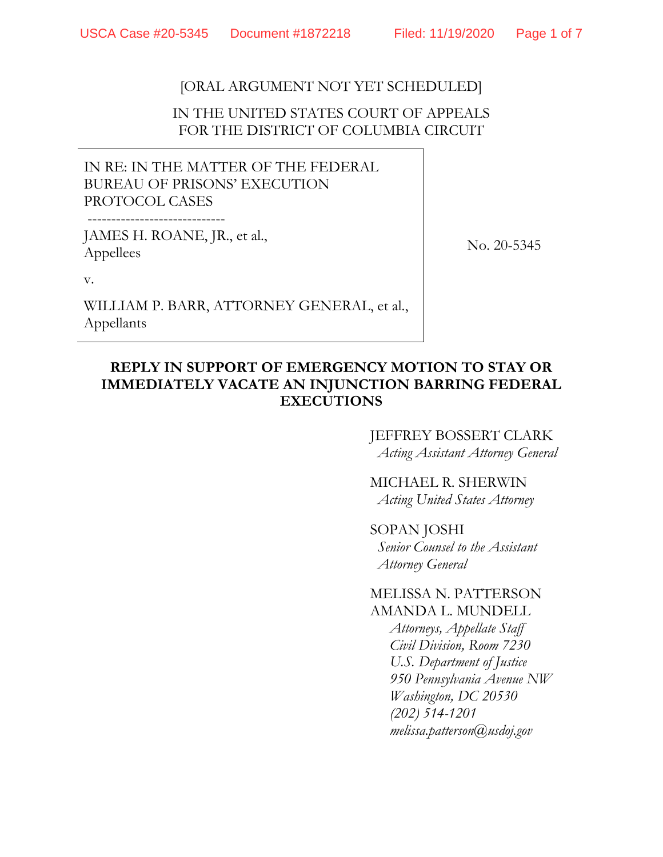# [ORAL ARGUMENT NOT YET SCHEDULED]

## IN THE UNITED STATES COURT OF APPEALS FOR THE DISTRICT OF COLUMBIA CIRCUIT

IN RE: IN THE MATTER OF THE FEDERAL BUREAU OF PRISONS' EXECUTION PROTOCOL CASES

JAMES H. ROANE, JR., et al., Appellees

No. 20-5345

v.

WILLIAM P. BARR, ATTORNEY GENERAL, et al., Appellants

## **REPLY IN SUPPORT OF EMERGENCY MOTION TO STAY OR IMMEDIATELY VACATE AN INJUNCTION BARRING FEDERAL EXECUTIONS**

# JEFFREY BOSSERT CLARK

*Acting Assistant Attorney General* 

MICHAEL R. SHERWIN *Acting United States Attorney* 

#### SOPAN JOSHI

*Senior Counsel to the Assistant Attorney General* 

#### MELISSA N. PATTERSON AMANDA L. MUNDELL

*Attorneys, Appellate Staff Civil Division, Room 7230 U.S. Department of Justice 950 Pennsylvania Avenue NW Washington, DC 20530 (202) 514-1201 melissa.patterson@usdoj.gov*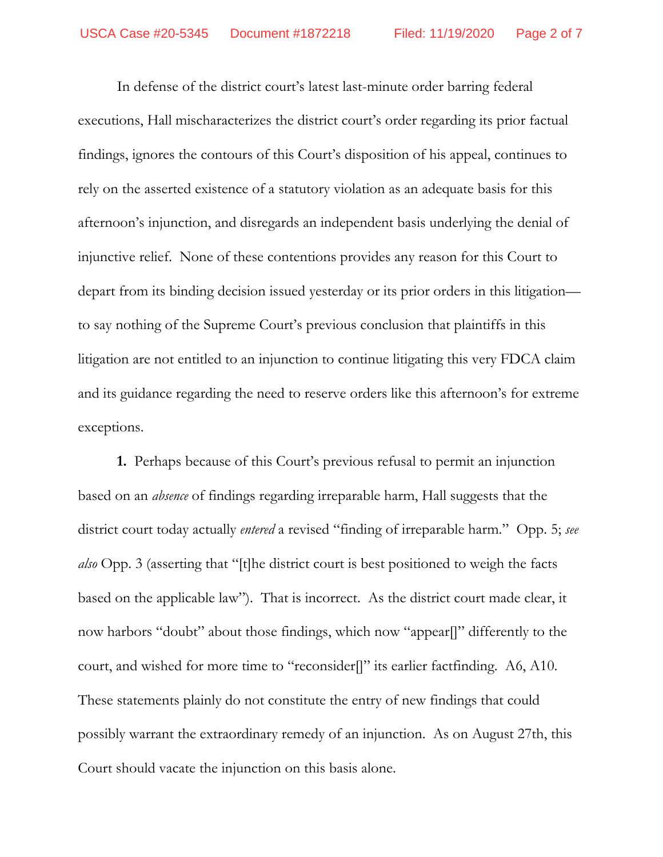In defense of the district court's latest last-minute order barring federal executions, Hall mischaracterizes the district court's order regarding its prior factual findings, ignores the contours of this Court's disposition of his appeal, continues to rely on the asserted existence of a statutory violation as an adequate basis for this afternoon's injunction, and disregards an independent basis underlying the denial of injunctive relief. None of these contentions provides any reason for this Court to depart from its binding decision issued yesterday or its prior orders in this litigation to say nothing of the Supreme Court's previous conclusion that plaintiffs in this litigation are not entitled to an injunction to continue litigating this very FDCA claim and its guidance regarding the need to reserve orders like this afternoon's for extreme exceptions.

**1.** Perhaps because of this Court's previous refusal to permit an injunction based on an *absence* of findings regarding irreparable harm, Hall suggests that the district court today actually *entered* a revised "finding of irreparable harm." Opp. 5; *see also* Opp. 3 (asserting that "[t]he district court is best positioned to weigh the facts based on the applicable law"). That is incorrect. As the district court made clear, it now harbors "doubt" about those findings, which now "appear[]" differently to the court, and wished for more time to "reconsider[]" its earlier factfinding. A6, A10. These statements plainly do not constitute the entry of new findings that could possibly warrant the extraordinary remedy of an injunction. As on August 27th, this Court should vacate the injunction on this basis alone.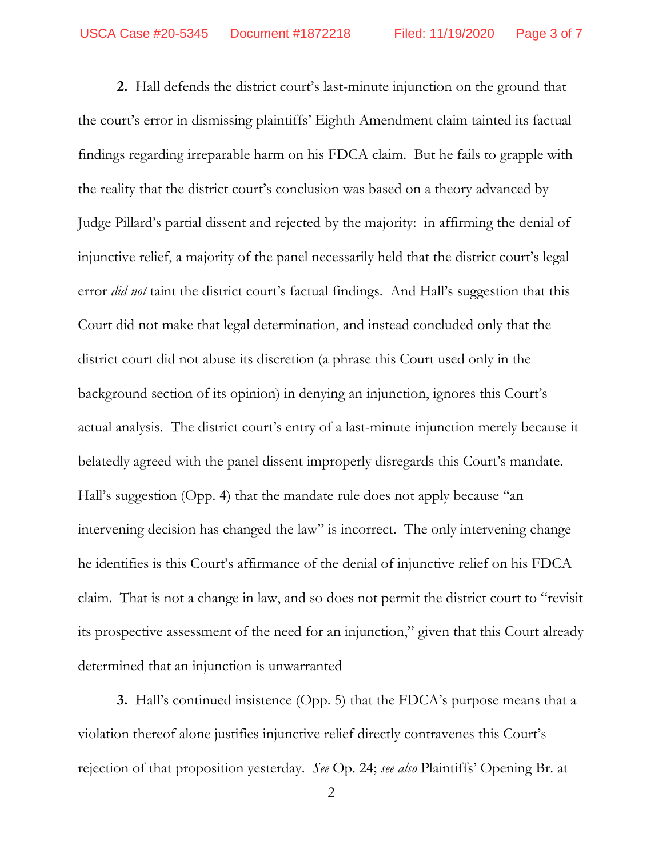**2.** Hall defends the district court's last-minute injunction on the ground that the court's error in dismissing plaintiffs' Eighth Amendment claim tainted its factual findings regarding irreparable harm on his FDCA claim. But he fails to grapple with the reality that the district court's conclusion was based on a theory advanced by Judge Pillard's partial dissent and rejected by the majority: in affirming the denial of injunctive relief, a majority of the panel necessarily held that the district court's legal error *did not* taint the district court's factual findings. And Hall's suggestion that this Court did not make that legal determination, and instead concluded only that the district court did not abuse its discretion (a phrase this Court used only in the background section of its opinion) in denying an injunction, ignores this Court's actual analysis. The district court's entry of a last-minute injunction merely because it belatedly agreed with the panel dissent improperly disregards this Court's mandate. Hall's suggestion (Opp. 4) that the mandate rule does not apply because "an intervening decision has changed the law" is incorrect. The only intervening change he identifies is this Court's affirmance of the denial of injunctive relief on his FDCA claim. That is not a change in law, and so does not permit the district court to "revisit its prospective assessment of the need for an injunction," given that this Court already determined that an injunction is unwarranted

**3.** Hall's continued insistence (Opp. 5) that the FDCA's purpose means that a violation thereof alone justifies injunctive relief directly contravenes this Court's rejection of that proposition yesterday. *See* Op. 24; *see also* Plaintiffs' Opening Br. at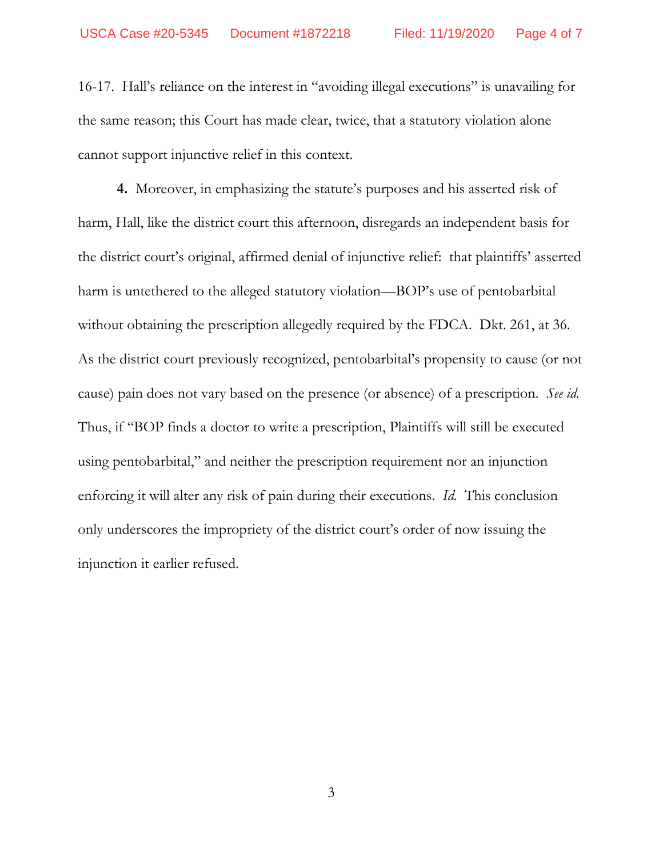16-17. Hall's reliance on the interest in "avoiding illegal executions" is unavailing for the same reason; this Court has made clear, twice, that a statutory violation alone cannot support injunctive relief in this context.

**4.** Moreover, in emphasizing the statute's purposes and his asserted risk of harm, Hall, like the district court this afternoon, disregards an independent basis for the district court's original, affirmed denial of injunctive relief: that plaintiffs' asserted harm is untethered to the alleged statutory violation—BOP's use of pentobarbital without obtaining the prescription allegedly required by the FDCA. Dkt. 261, at 36. As the district court previously recognized, pentobarbital's propensity to cause (or not cause) pain does not vary based on the presence (or absence) of a prescription. *See id.*  Thus, if "BOP finds a doctor to write a prescription, Plaintiffs will still be executed using pentobarbital," and neither the prescription requirement nor an injunction enforcing it will alter any risk of pain during their executions. *Id.* This conclusion only underscores the impropriety of the district court's order of now issuing the injunction it earlier refused.

3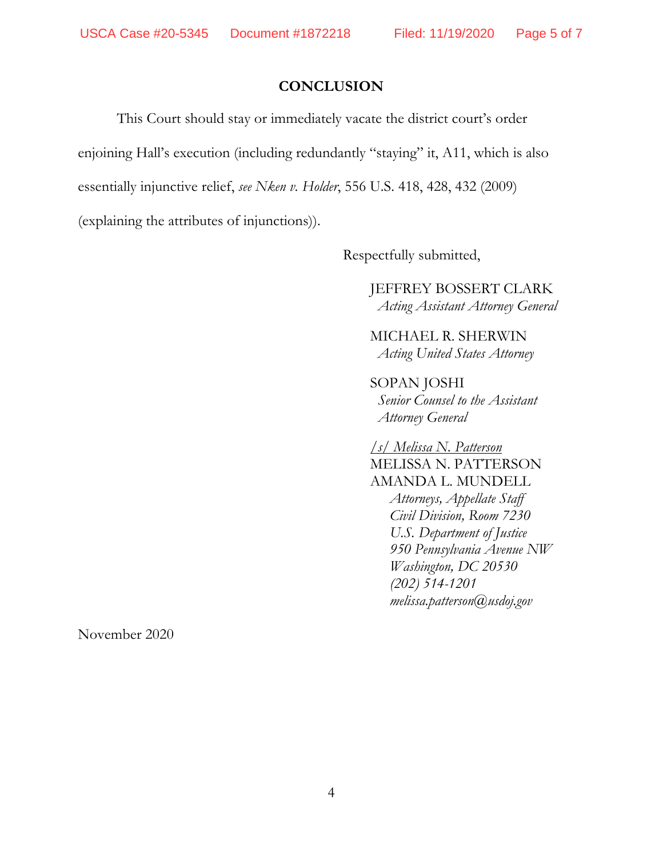#### **CONCLUSION**

This Court should stay or immediately vacate the district court's order enjoining Hall's execution (including redundantly "staying" it, A11, which is also essentially injunctive relief, *see Nken v. Holder*, 556 U.S. 418, 428, 432 (2009) (explaining the attributes of injunctions)).

Respectfully submitted,

JEFFREY BOSSERT CLARK *Acting Assistant Attorney General* 

MICHAEL R. SHERWIN *Acting United States Attorney* 

SOPAN JOSHI *Senior Counsel to the Assistant Attorney General* 

*/s/ Melissa N. Patterson*  MELISSA N. PATTERSON AMANDA L. MUNDELL *Attorneys, Appellate Staff Civil Division, Room 7230 U.S. Department of Justice 950 Pennsylvania Avenue NW Washington, DC 20530 (202) 514-1201 melissa.patterson@usdoj.gov*

November 2020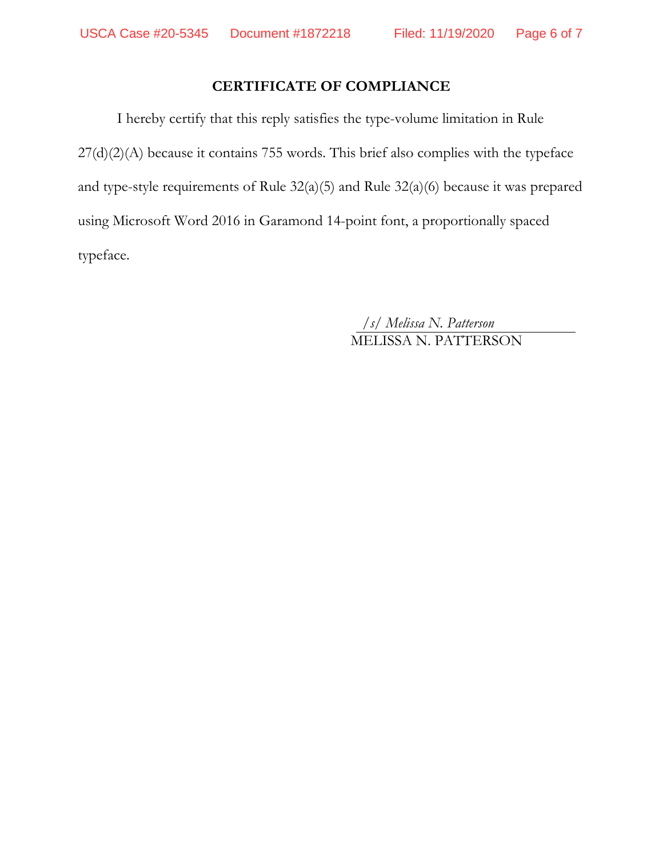## **CERTIFICATE OF COMPLIANCE**

I hereby certify that this reply satisfies the type-volume limitation in Rule 27(d)(2)(A) because it contains 755 words. This brief also complies with the typeface and type-style requirements of Rule 32(a)(5) and Rule 32(a)(6) because it was prepared using Microsoft Word 2016 in Garamond 14-point font, a proportionally spaced typeface.

*/s/ Melissa N. Patterson*  MELISSA N. PATTERSON